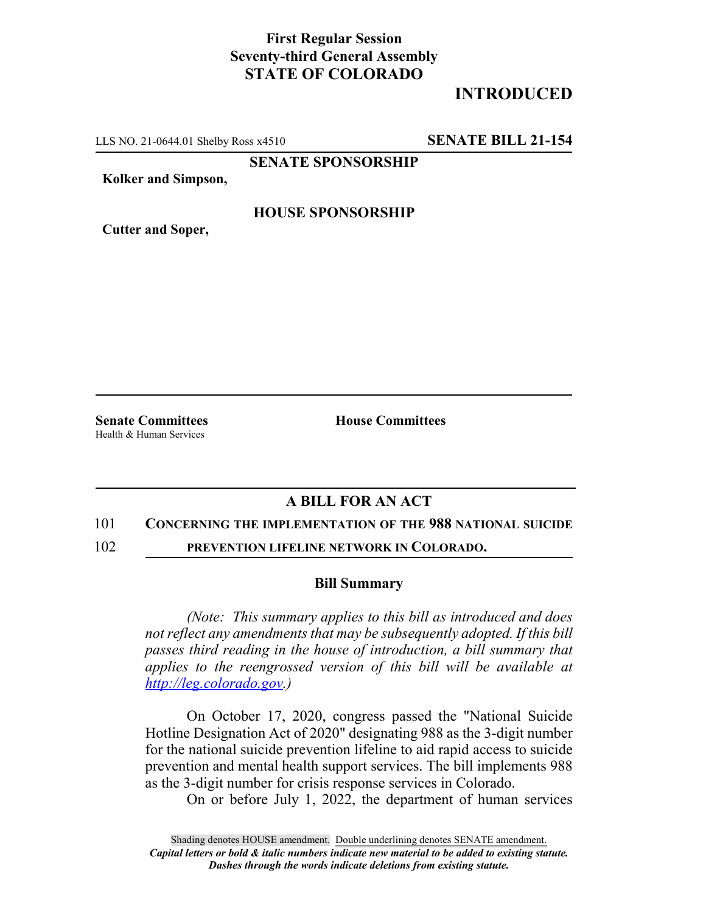## **First Regular Session Seventy-third General Assembly STATE OF COLORADO**

# **INTRODUCED**

LLS NO. 21-0644.01 Shelby Ross x4510 **SENATE BILL 21-154**

**SENATE SPONSORSHIP**

**Kolker and Simpson,**

### **HOUSE SPONSORSHIP**

**Cutter and Soper,**

Health & Human Services

**Senate Committees House Committees** 

## **A BILL FOR AN ACT**

#### 101 **CONCERNING THE IMPLEMENTATION OF THE 988 NATIONAL SUICIDE**

102 **PREVENTION LIFELINE NETWORK IN COLORADO.**

#### **Bill Summary**

*(Note: This summary applies to this bill as introduced and does not reflect any amendments that may be subsequently adopted. If this bill passes third reading in the house of introduction, a bill summary that applies to the reengrossed version of this bill will be available at http://leg.colorado.gov.)*

On October 17, 2020, congress passed the "National Suicide Hotline Designation Act of 2020" designating 988 as the 3-digit number for the national suicide prevention lifeline to aid rapid access to suicide prevention and mental health support services. The bill implements 988 as the 3-digit number for crisis response services in Colorado.

On or before July 1, 2022, the department of human services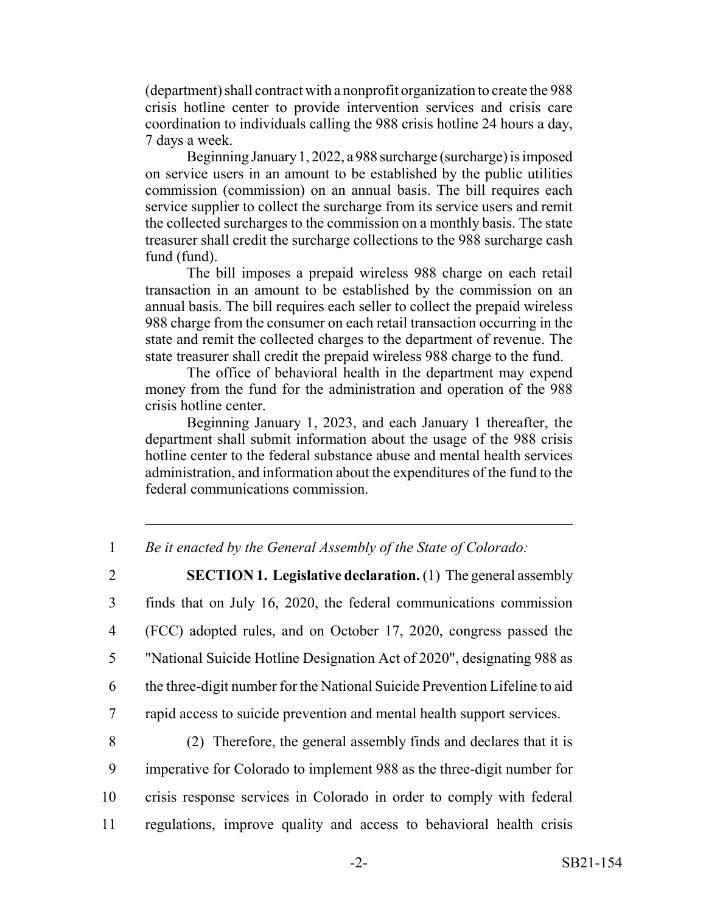(department) shall contract with a nonprofit organization to create the 988 crisis hotline center to provide intervention services and crisis care coordination to individuals calling the 988 crisis hotline 24 hours a day, 7 days a week.

Beginning January 1, 2022, a 988 surcharge (surcharge) is imposed on service users in an amount to be established by the public utilities commission (commission) on an annual basis. The bill requires each service supplier to collect the surcharge from its service users and remit the collected surcharges to the commission on a monthly basis. The state treasurer shall credit the surcharge collections to the 988 surcharge cash fund (fund).

The bill imposes a prepaid wireless 988 charge on each retail transaction in an amount to be established by the commission on an annual basis. The bill requires each seller to collect the prepaid wireless 988 charge from the consumer on each retail transaction occurring in the state and remit the collected charges to the department of revenue. The state treasurer shall credit the prepaid wireless 988 charge to the fund.

The office of behavioral health in the department may expend money from the fund for the administration and operation of the 988 crisis hotline center.

Beginning January 1, 2023, and each January 1 thereafter, the department shall submit information about the usage of the 988 crisis hotline center to the federal substance abuse and mental health services administration, and information about the expenditures of the fund to the federal communications commission.

1 *Be it enacted by the General Assembly of the State of Colorado:*

 **SECTION 1. Legislative declaration.** (1) The general assembly finds that on July 16, 2020, the federal communications commission (FCC) adopted rules, and on October 17, 2020, congress passed the "National Suicide Hotline Designation Act of 2020", designating 988 as the three-digit number for the National Suicide Prevention Lifeline to aid rapid access to suicide prevention and mental health support services.

 (2) Therefore, the general assembly finds and declares that it is imperative for Colorado to implement 988 as the three-digit number for crisis response services in Colorado in order to comply with federal regulations, improve quality and access to behavioral health crisis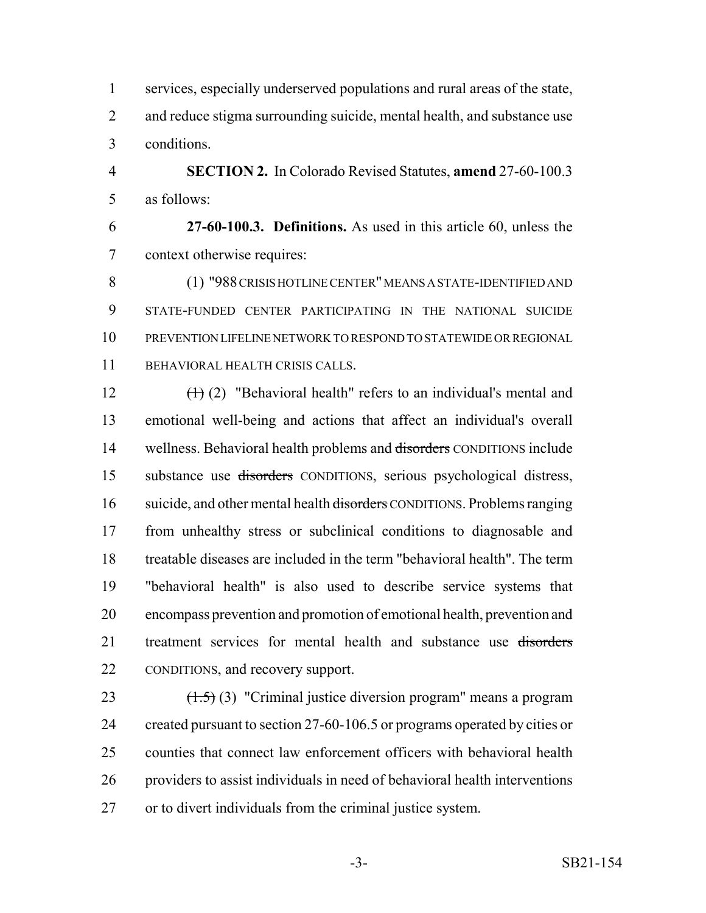services, especially underserved populations and rural areas of the state, 2 and reduce stigma surrounding suicide, mental health, and substance use conditions.

 **SECTION 2.** In Colorado Revised Statutes, **amend** 27-60-100.3 as follows:

 **27-60-100.3. Definitions.** As used in this article 60, unless the context otherwise requires:

 (1) "988 CRISIS HOTLINE CENTER" MEANS A STATE-IDENTIFIED AND STATE-FUNDED CENTER PARTICIPATING IN THE NATIONAL SUICIDE PREVENTION LIFELINE NETWORK TO RESPOND TO STATEWIDE OR REGIONAL BEHAVIORAL HEALTH CRISIS CALLS.

 $(\text{+)}(2)$  "Behavioral health" refers to an individual's mental and emotional well-being and actions that affect an individual's overall 14 wellness. Behavioral health problems and disorders CONDITIONS include substance use disorders CONDITIONS, serious psychological distress, 16 suicide, and other mental health <del>disorders</del> CONDITIONS. Problems ranging from unhealthy stress or subclinical conditions to diagnosable and treatable diseases are included in the term "behavioral health". The term "behavioral health" is also used to describe service systems that encompass prevention and promotion of emotional health, prevention and 21 treatment services for mental health and substance use disorders CONDITIONS, and recovery support.

 $(1.5)$  (3) "Criminal justice diversion program" means a program 24 created pursuant to section 27-60-106.5 or programs operated by cities or counties that connect law enforcement officers with behavioral health providers to assist individuals in need of behavioral health interventions or to divert individuals from the criminal justice system.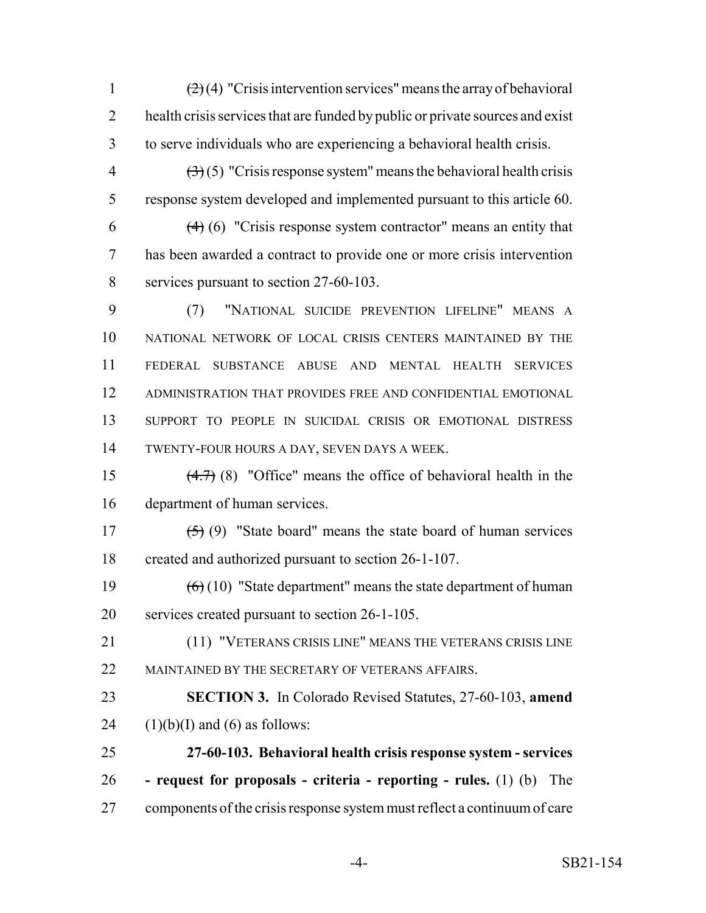1  $\left(2\right)(4)$  "Crisis intervention services" means the array of behavioral 2 health crisis services that are funded by public or private sources and exist to serve individuals who are experiencing a behavioral health crisis.

 $\left(\frac{3}{2}\right)$  (5) "Crisis response system" means the behavioral health crisis response system developed and implemented pursuant to this article 60.

6  $(4)$  (6) "Crisis response system contractor" means an entity that has been awarded a contract to provide one or more crisis intervention services pursuant to section 27-60-103.

 (7) "NATIONAL SUICIDE PREVENTION LIFELINE" MEANS A NATIONAL NETWORK OF LOCAL CRISIS CENTERS MAINTAINED BY THE FEDERAL SUBSTANCE ABUSE AND MENTAL HEALTH SERVICES ADMINISTRATION THAT PROVIDES FREE AND CONFIDENTIAL EMOTIONAL SUPPORT TO PEOPLE IN SUICIDAL CRISIS OR EMOTIONAL DISTRESS TWENTY-FOUR HOURS A DAY, SEVEN DAYS A WEEK.

 (4.7) (8) "Office" means the office of behavioral health in the department of human services.

17  $(5)(9)$  "State board" means the state board of human services created and authorized pursuant to section 26-1-107.

19  $(6)(10)$  "State department" means the state department of human services created pursuant to section 26-1-105.

 (11) "VETERANS CRISIS LINE" MEANS THE VETERANS CRISIS LINE 22 MAINTAINED BY THE SECRETARY OF VETERANS AFFAIRS.

 **SECTION 3.** In Colorado Revised Statutes, 27-60-103, **amend** 24  $(1)(b)(I)$  and  $(6)$  as follows:

 **27-60-103. Behavioral health crisis response system - services - request for proposals - criteria - reporting - rules.** (1) (b) The components of the crisis response system must reflect a continuum of care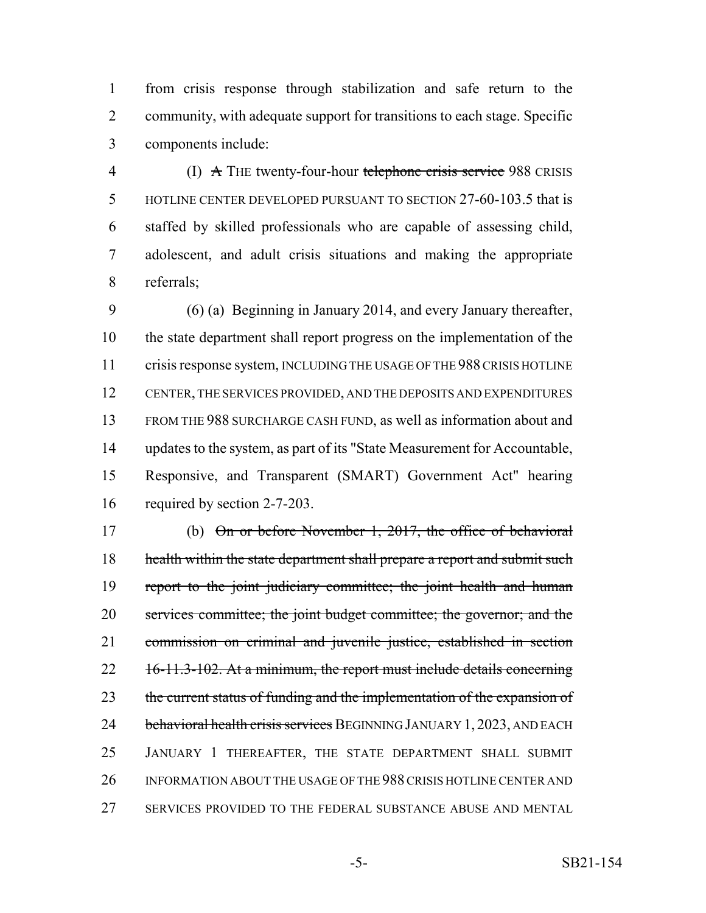from crisis response through stabilization and safe return to the community, with adequate support for transitions to each stage. Specific components include:

4 (I) A THE twenty-four-hour telephone crisis service 988 CRISIS HOTLINE CENTER DEVELOPED PURSUANT TO SECTION 27-60-103.5 that is staffed by skilled professionals who are capable of assessing child, adolescent, and adult crisis situations and making the appropriate referrals;

 (6) (a) Beginning in January 2014, and every January thereafter, the state department shall report progress on the implementation of the 11 crisis response system, INCLUDING THE USAGE OF THE 988 CRISIS HOTLINE CENTER, THE SERVICES PROVIDED, AND THE DEPOSITS AND EXPENDITURES FROM THE 988 SURCHARGE CASH FUND, as well as information about and updates to the system, as part of its "State Measurement for Accountable, Responsive, and Transparent (SMART) Government Act" hearing required by section 2-7-203.

 (b) On or before November 1, 2017, the office of behavioral 18 health within the state department shall prepare a report and submit such 19 report to the joint judiciary committee; the joint health and human services committee; the joint budget committee; the governor; and the commission on criminal and juvenile justice, established in section 22 16-11.3-102. At a minimum, the report must include details concerning 23 the current status of funding and the implementation of the expansion of 24 behavioral health crisis services BEGINNING JANUARY 1, 2023, AND EACH JANUARY 1 THEREAFTER, THE STATE DEPARTMENT SHALL SUBMIT INFORMATION ABOUT THE USAGE OF THE 988 CRISIS HOTLINE CENTER AND SERVICES PROVIDED TO THE FEDERAL SUBSTANCE ABUSE AND MENTAL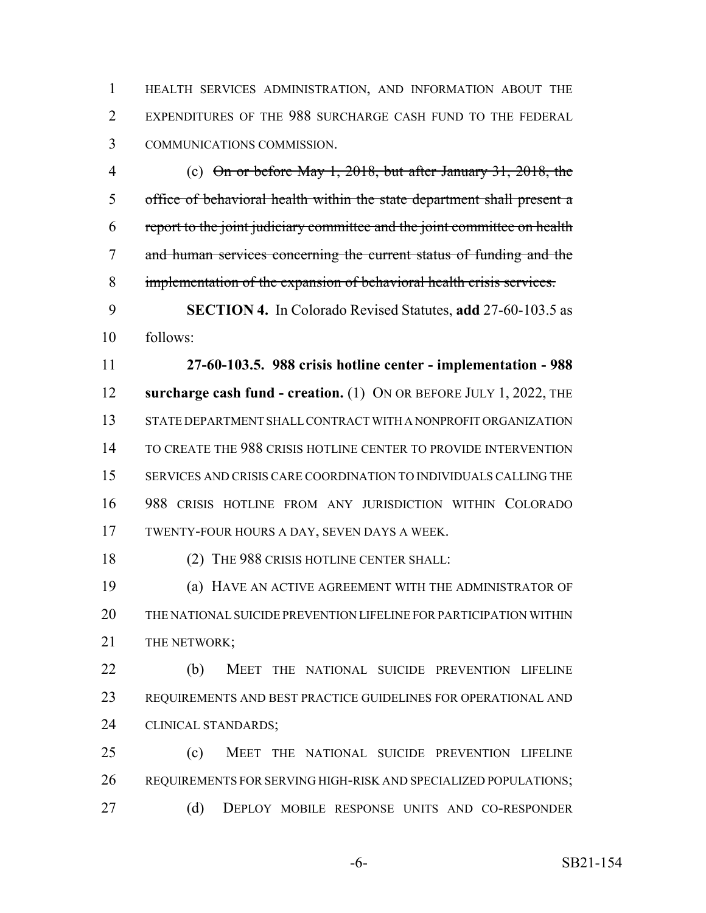HEALTH SERVICES ADMINISTRATION, AND INFORMATION ABOUT THE EXPENDITURES OF THE 988 SURCHARGE CASH FUND TO THE FEDERAL COMMUNICATIONS COMMISSION.

 (c) On or before May 1, 2018, but after January 31, 2018, the office of behavioral health within the state department shall present a report to the joint judiciary committee and the joint committee on health and human services concerning the current status of funding and the implementation of the expansion of behavioral health crisis services.

 **SECTION 4.** In Colorado Revised Statutes, **add** 27-60-103.5 as follows:

 **27-60-103.5. 988 crisis hotline center - implementation - 988 surcharge cash fund - creation.** (1) ON OR BEFORE JULY 1, 2022, THE STATE DEPARTMENT SHALL CONTRACT WITH A NONPROFIT ORGANIZATION TO CREATE THE 988 CRISIS HOTLINE CENTER TO PROVIDE INTERVENTION SERVICES AND CRISIS CARE COORDINATION TO INDIVIDUALS CALLING THE 988 CRISIS HOTLINE FROM ANY JURISDICTION WITHIN COLORADO TWENTY-FOUR HOURS A DAY, SEVEN DAYS A WEEK.

18 (2) THE 988 CRISIS HOTLINE CENTER SHALL:

 (a) HAVE AN ACTIVE AGREEMENT WITH THE ADMINISTRATOR OF THE NATIONAL SUICIDE PREVENTION LIFELINE FOR PARTICIPATION WITHIN 21 THE NETWORK:

 (b) MEET THE NATIONAL SUICIDE PREVENTION LIFELINE REQUIREMENTS AND BEST PRACTICE GUIDELINES FOR OPERATIONAL AND CLINICAL STANDARDS;

 (c) MEET THE NATIONAL SUICIDE PREVENTION LIFELINE REQUIREMENTS FOR SERVING HIGH-RISK AND SPECIALIZED POPULATIONS; (d) DEPLOY MOBILE RESPONSE UNITS AND CO-RESPONDER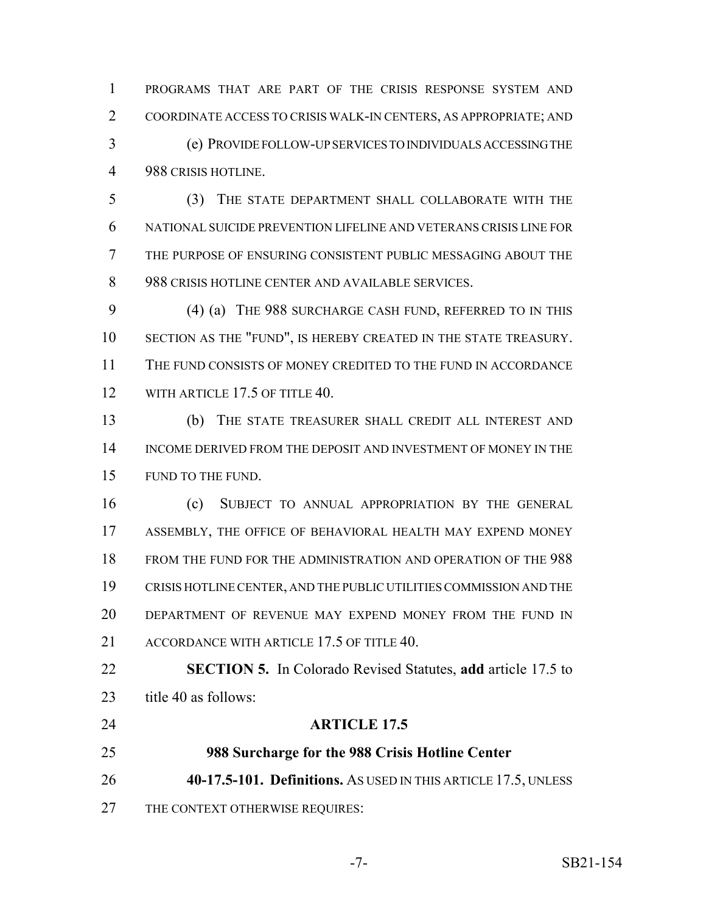PROGRAMS THAT ARE PART OF THE CRISIS RESPONSE SYSTEM AND COORDINATE ACCESS TO CRISIS WALK-IN CENTERS, AS APPROPRIATE; AND (e) PROVIDE FOLLOW-UP SERVICES TO INDIVIDUALS ACCESSING THE 988 CRISIS HOTLINE.

 (3) THE STATE DEPARTMENT SHALL COLLABORATE WITH THE NATIONAL SUICIDE PREVENTION LIFELINE AND VETERANS CRISIS LINE FOR THE PURPOSE OF ENSURING CONSISTENT PUBLIC MESSAGING ABOUT THE 8 988 CRISIS HOTLINE CENTER AND AVAILABLE SERVICES.

 (4) (a) THE 988 SURCHARGE CASH FUND, REFERRED TO IN THIS SECTION AS THE "FUND", IS HEREBY CREATED IN THE STATE TREASURY. THE FUND CONSISTS OF MONEY CREDITED TO THE FUND IN ACCORDANCE 12 WITH ARTICLE 17.5 OF TITLE 40.

 (b) THE STATE TREASURER SHALL CREDIT ALL INTEREST AND INCOME DERIVED FROM THE DEPOSIT AND INVESTMENT OF MONEY IN THE FUND TO THE FUND.

 (c) SUBJECT TO ANNUAL APPROPRIATION BY THE GENERAL ASSEMBLY, THE OFFICE OF BEHAVIORAL HEALTH MAY EXPEND MONEY FROM THE FUND FOR THE ADMINISTRATION AND OPERATION OF THE 988 CRISIS HOTLINE CENTER, AND THE PUBLIC UTILITIES COMMISSION AND THE DEPARTMENT OF REVENUE MAY EXPEND MONEY FROM THE FUND IN 21 ACCORDANCE WITH ARTICLE 17.5 OF TITLE 40.

 **SECTION 5.** In Colorado Revised Statutes, **add** article 17.5 to 23 title 40 as follows:

- **ARTICLE 17.5**
- 
- 
- **988 Surcharge for the 988 Crisis Hotline Center**

**40-17.5-101. Definitions.** AS USED IN THIS ARTICLE 17.5, UNLESS

27 THE CONTEXT OTHERWISE REQUIRES: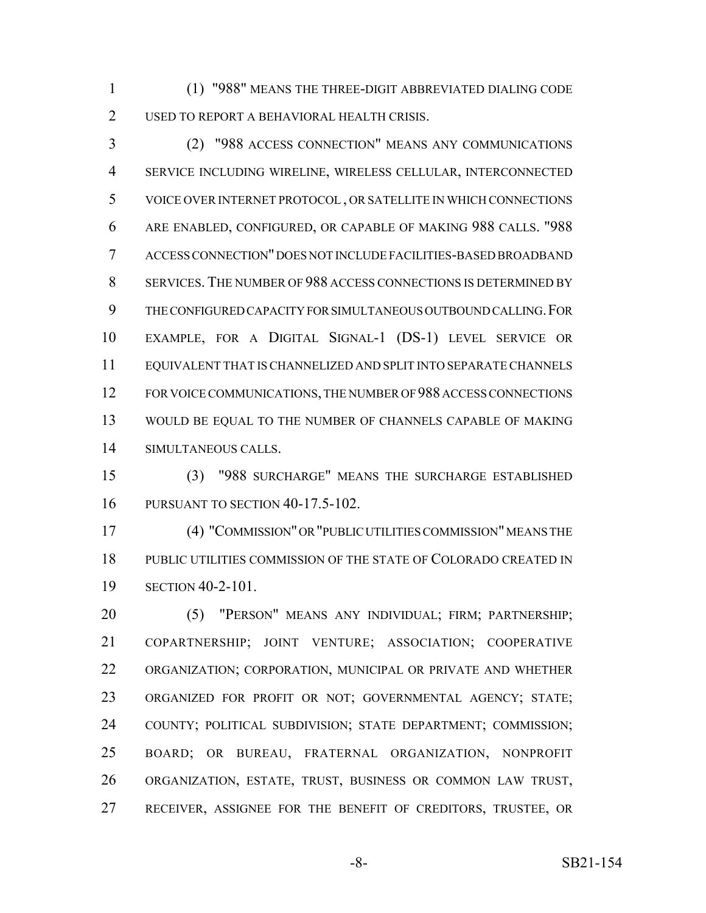(1) "988" MEANS THE THREE-DIGIT ABBREVIATED DIALING CODE USED TO REPORT A BEHAVIORAL HEALTH CRISIS.

 (2) "988 ACCESS CONNECTION" MEANS ANY COMMUNICATIONS SERVICE INCLUDING WIRELINE, WIRELESS CELLULAR, INTERCONNECTED VOICE OVER INTERNET PROTOCOL , OR SATELLITE IN WHICH CONNECTIONS ARE ENABLED, CONFIGURED, OR CAPABLE OF MAKING 988 CALLS. "988 ACCESS CONNECTION" DOES NOT INCLUDE FACILITIES-BASED BROADBAND SERVICES. THE NUMBER OF 988 ACCESS CONNECTIONS IS DETERMINED BY THE CONFIGURED CAPACITY FOR SIMULTANEOUS OUTBOUND CALLING.FOR EXAMPLE, FOR A DIGITAL SIGNAL-1 (DS-1) LEVEL SERVICE OR EQUIVALENT THAT IS CHANNELIZED AND SPLIT INTO SEPARATE CHANNELS FOR VOICE COMMUNICATIONS, THE NUMBER OF 988 ACCESS CONNECTIONS WOULD BE EQUAL TO THE NUMBER OF CHANNELS CAPABLE OF MAKING SIMULTANEOUS CALLS.

 (3) "988 SURCHARGE" MEANS THE SURCHARGE ESTABLISHED PURSUANT TO SECTION 40-17.5-102.

 (4) "COMMISSION" OR "PUBLIC UTILITIES COMMISSION" MEANS THE PUBLIC UTILITIES COMMISSION OF THE STATE OF COLORADO CREATED IN SECTION 40-2-101.

20 (5) "PERSON" MEANS ANY INDIVIDUAL; FIRM; PARTNERSHIP; COPARTNERSHIP; JOINT VENTURE; ASSOCIATION; COOPERATIVE ORGANIZATION; CORPORATION, MUNICIPAL OR PRIVATE AND WHETHER ORGANIZED FOR PROFIT OR NOT; GOVERNMENTAL AGENCY; STATE; COUNTY; POLITICAL SUBDIVISION; STATE DEPARTMENT; COMMISSION; BOARD; OR BUREAU, FRATERNAL ORGANIZATION, NONPROFIT ORGANIZATION, ESTATE, TRUST, BUSINESS OR COMMON LAW TRUST, RECEIVER, ASSIGNEE FOR THE BENEFIT OF CREDITORS, TRUSTEE, OR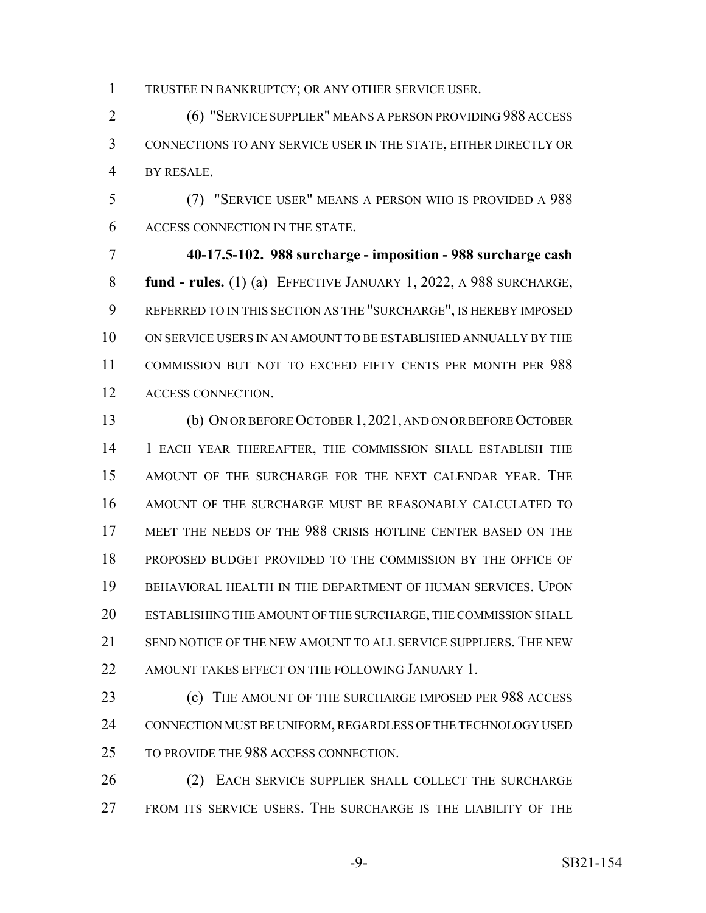TRUSTEE IN BANKRUPTCY; OR ANY OTHER SERVICE USER.

 (6) "SERVICE SUPPLIER" MEANS A PERSON PROVIDING 988 ACCESS CONNECTIONS TO ANY SERVICE USER IN THE STATE, EITHER DIRECTLY OR BY RESALE.

 (7) "SERVICE USER" MEANS A PERSON WHO IS PROVIDED A 988 ACCESS CONNECTION IN THE STATE.

 **40-17.5-102. 988 surcharge - imposition - 988 surcharge cash fund - rules.** (1) (a) EFFECTIVE JANUARY 1, 2022, A 988 SURCHARGE, REFERRED TO IN THIS SECTION AS THE "SURCHARGE", IS HEREBY IMPOSED ON SERVICE USERS IN AN AMOUNT TO BE ESTABLISHED ANNUALLY BY THE COMMISSION BUT NOT TO EXCEED FIFTY CENTS PER MONTH PER 988 ACCESS CONNECTION.

 (b) ON OR BEFORE OCTOBER 1,2021, AND ON OR BEFORE OCTOBER 1 EACH YEAR THEREAFTER, THE COMMISSION SHALL ESTABLISH THE AMOUNT OF THE SURCHARGE FOR THE NEXT CALENDAR YEAR. THE AMOUNT OF THE SURCHARGE MUST BE REASONABLY CALCULATED TO 17 MEET THE NEEDS OF THE 988 CRISIS HOTLINE CENTER BASED ON THE PROPOSED BUDGET PROVIDED TO THE COMMISSION BY THE OFFICE OF BEHAVIORAL HEALTH IN THE DEPARTMENT OF HUMAN SERVICES. UPON ESTABLISHING THE AMOUNT OF THE SURCHARGE, THE COMMISSION SHALL SEND NOTICE OF THE NEW AMOUNT TO ALL SERVICE SUPPLIERS. THE NEW 22 AMOUNT TAKES EFFECT ON THE FOLLOWING JANUARY 1.

 (c) THE AMOUNT OF THE SURCHARGE IMPOSED PER 988 ACCESS 24 CONNECTION MUST BE UNIFORM, REGARDLESS OF THE TECHNOLOGY USED TO PROVIDE THE 988 ACCESS CONNECTION.

26 (2) EACH SERVICE SUPPLIER SHALL COLLECT THE SURCHARGE FROM ITS SERVICE USERS. THE SURCHARGE IS THE LIABILITY OF THE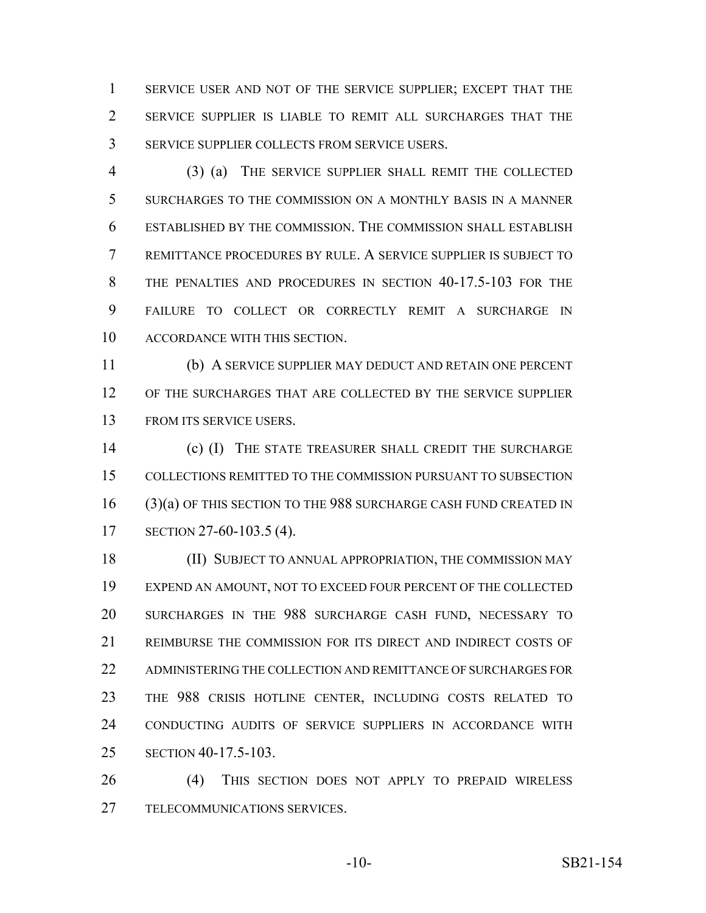SERVICE USER AND NOT OF THE SERVICE SUPPLIER; EXCEPT THAT THE SERVICE SUPPLIER IS LIABLE TO REMIT ALL SURCHARGES THAT THE SERVICE SUPPLIER COLLECTS FROM SERVICE USERS.

 (3) (a) THE SERVICE SUPPLIER SHALL REMIT THE COLLECTED SURCHARGES TO THE COMMISSION ON A MONTHLY BASIS IN A MANNER ESTABLISHED BY THE COMMISSION. THE COMMISSION SHALL ESTABLISH REMITTANCE PROCEDURES BY RULE. A SERVICE SUPPLIER IS SUBJECT TO 8 THE PENALTIES AND PROCEDURES IN SECTION 40-17.5-103 FOR THE FAILURE TO COLLECT OR CORRECTLY REMIT A SURCHARGE IN ACCORDANCE WITH THIS SECTION.

 (b) A SERVICE SUPPLIER MAY DEDUCT AND RETAIN ONE PERCENT OF THE SURCHARGES THAT ARE COLLECTED BY THE SERVICE SUPPLIER FROM ITS SERVICE USERS.

 (c) (I) THE STATE TREASURER SHALL CREDIT THE SURCHARGE COLLECTIONS REMITTED TO THE COMMISSION PURSUANT TO SUBSECTION (3)(a) OF THIS SECTION TO THE 988 SURCHARGE CASH FUND CREATED IN SECTION 27-60-103.5 (4).

 (II) SUBJECT TO ANNUAL APPROPRIATION, THE COMMISSION MAY EXPEND AN AMOUNT, NOT TO EXCEED FOUR PERCENT OF THE COLLECTED SURCHARGES IN THE 988 SURCHARGE CASH FUND, NECESSARY TO REIMBURSE THE COMMISSION FOR ITS DIRECT AND INDIRECT COSTS OF 22 ADMINISTERING THE COLLECTION AND REMITTANCE OF SURCHARGES FOR THE 988 CRISIS HOTLINE CENTER, INCLUDING COSTS RELATED TO CONDUCTING AUDITS OF SERVICE SUPPLIERS IN ACCORDANCE WITH SECTION 40-17.5-103.

 (4) THIS SECTION DOES NOT APPLY TO PREPAID WIRELESS TELECOMMUNICATIONS SERVICES.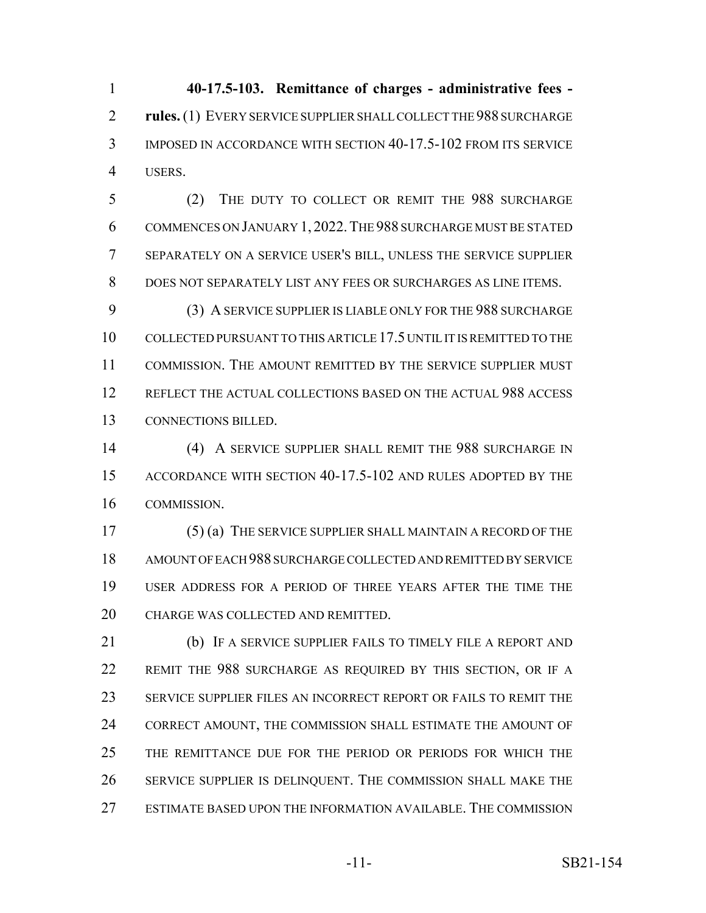**40-17.5-103. Remittance of charges - administrative fees - rules.** (1) EVERY SERVICE SUPPLIER SHALL COLLECT THE 988 SURCHARGE IMPOSED IN ACCORDANCE WITH SECTION 40-17.5-102 FROM ITS SERVICE USERS.

 (2) THE DUTY TO COLLECT OR REMIT THE 988 SURCHARGE COMMENCES ON JANUARY 1, 2022.THE 988 SURCHARGE MUST BE STATED SEPARATELY ON A SERVICE USER'S BILL, UNLESS THE SERVICE SUPPLIER DOES NOT SEPARATELY LIST ANY FEES OR SURCHARGES AS LINE ITEMS.

 (3) A SERVICE SUPPLIER IS LIABLE ONLY FOR THE 988 SURCHARGE COLLECTED PURSUANT TO THIS ARTICLE 17.5 UNTIL IT IS REMITTED TO THE COMMISSION. THE AMOUNT REMITTED BY THE SERVICE SUPPLIER MUST REFLECT THE ACTUAL COLLECTIONS BASED ON THE ACTUAL 988 ACCESS CONNECTIONS BILLED.

 (4) A SERVICE SUPPLIER SHALL REMIT THE 988 SURCHARGE IN ACCORDANCE WITH SECTION 40-17.5-102 AND RULES ADOPTED BY THE COMMISSION.

 (5) (a) THE SERVICE SUPPLIER SHALL MAINTAIN A RECORD OF THE AMOUNT OF EACH 988 SURCHARGE COLLECTED AND REMITTED BY SERVICE USER ADDRESS FOR A PERIOD OF THREE YEARS AFTER THE TIME THE CHARGE WAS COLLECTED AND REMITTED.

 (b) IF A SERVICE SUPPLIER FAILS TO TIMELY FILE A REPORT AND REMIT THE 988 SURCHARGE AS REQUIRED BY THIS SECTION, OR IF A SERVICE SUPPLIER FILES AN INCORRECT REPORT OR FAILS TO REMIT THE 24 CORRECT AMOUNT, THE COMMISSION SHALL ESTIMATE THE AMOUNT OF THE REMITTANCE DUE FOR THE PERIOD OR PERIODS FOR WHICH THE SERVICE SUPPLIER IS DELINQUENT. THE COMMISSION SHALL MAKE THE ESTIMATE BASED UPON THE INFORMATION AVAILABLE. THE COMMISSION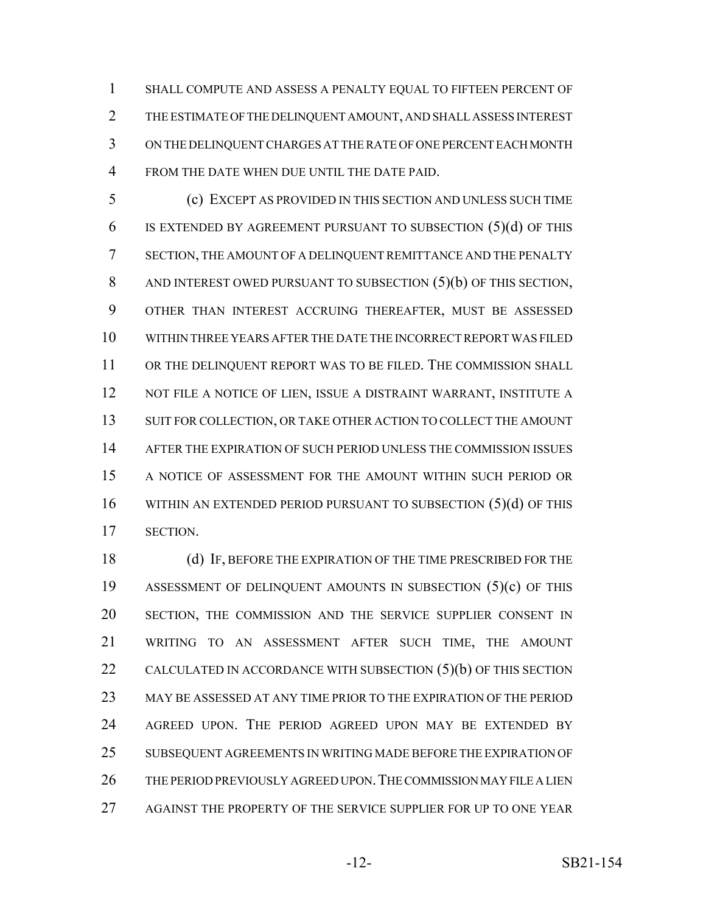SHALL COMPUTE AND ASSESS A PENALTY EQUAL TO FIFTEEN PERCENT OF THE ESTIMATE OF THE DELINQUENT AMOUNT, AND SHALL ASSESS INTEREST ON THE DELINQUENT CHARGES AT THE RATE OF ONE PERCENT EACH MONTH FROM THE DATE WHEN DUE UNTIL THE DATE PAID.

 (c) EXCEPT AS PROVIDED IN THIS SECTION AND UNLESS SUCH TIME IS EXTENDED BY AGREEMENT PURSUANT TO SUBSECTION (5)(d) OF THIS SECTION, THE AMOUNT OF A DELINQUENT REMITTANCE AND THE PENALTY AND INTEREST OWED PURSUANT TO SUBSECTION (5)(b) OF THIS SECTION, OTHER THAN INTEREST ACCRUING THEREAFTER, MUST BE ASSESSED WITHIN THREE YEARS AFTER THE DATE THE INCORRECT REPORT WAS FILED 11 OR THE DELINQUENT REPORT WAS TO BE FILED. THE COMMISSION SHALL 12 NOT FILE A NOTICE OF LIEN, ISSUE A DISTRAINT WARRANT, INSTITUTE A 13 SUIT FOR COLLECTION, OR TAKE OTHER ACTION TO COLLECT THE AMOUNT AFTER THE EXPIRATION OF SUCH PERIOD UNLESS THE COMMISSION ISSUES A NOTICE OF ASSESSMENT FOR THE AMOUNT WITHIN SUCH PERIOD OR 16 WITHIN AN EXTENDED PERIOD PURSUANT TO SUBSECTION (5)(d) OF THIS SECTION.

 (d) IF, BEFORE THE EXPIRATION OF THE TIME PRESCRIBED FOR THE ASSESSMENT OF DELINQUENT AMOUNTS IN SUBSECTION (5)(c) OF THIS 20 SECTION, THE COMMISSION AND THE SERVICE SUPPLIER CONSENT IN WRITING TO AN ASSESSMENT AFTER SUCH TIME, THE AMOUNT 22 CALCULATED IN ACCORDANCE WITH SUBSECTION  $(5)(b)$  OF THIS SECTION MAY BE ASSESSED AT ANY TIME PRIOR TO THE EXPIRATION OF THE PERIOD AGREED UPON. THE PERIOD AGREED UPON MAY BE EXTENDED BY SUBSEQUENT AGREEMENTS IN WRITING MADE BEFORE THE EXPIRATION OF THE PERIOD PREVIOUSLY AGREED UPON.THE COMMISSION MAY FILE A LIEN AGAINST THE PROPERTY OF THE SERVICE SUPPLIER FOR UP TO ONE YEAR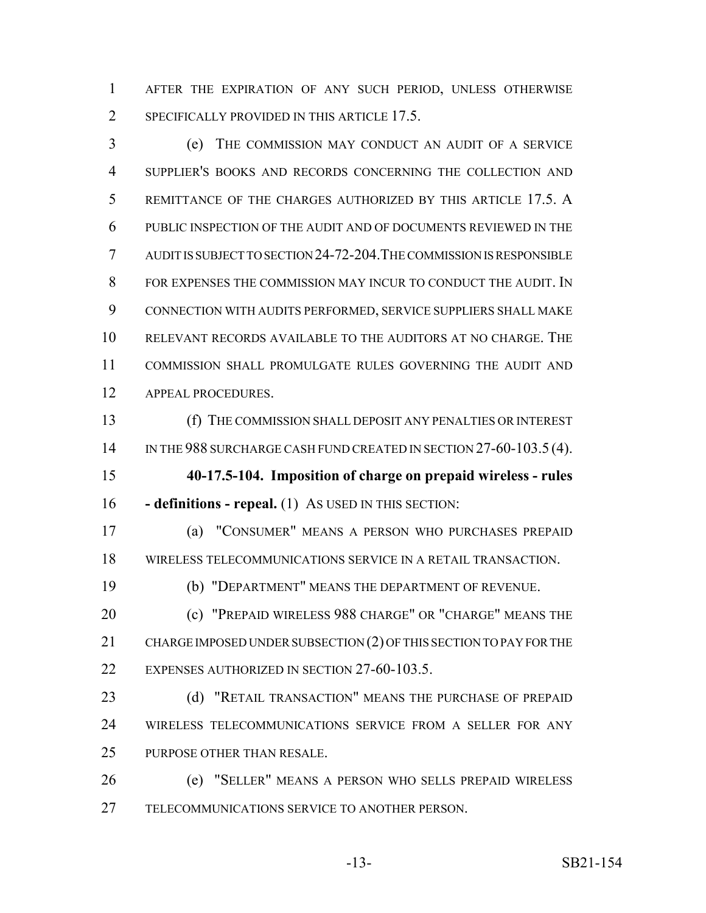AFTER THE EXPIRATION OF ANY SUCH PERIOD, UNLESS OTHERWISE 2 SPECIFICALLY PROVIDED IN THIS ARTICLE 17.5.

 (e) THE COMMISSION MAY CONDUCT AN AUDIT OF A SERVICE SUPPLIER'S BOOKS AND RECORDS CONCERNING THE COLLECTION AND REMITTANCE OF THE CHARGES AUTHORIZED BY THIS ARTICLE 17.5. A PUBLIC INSPECTION OF THE AUDIT AND OF DOCUMENTS REVIEWED IN THE AUDIT IS SUBJECT TO SECTION 24-72-204.THE COMMISSION IS RESPONSIBLE FOR EXPENSES THE COMMISSION MAY INCUR TO CONDUCT THE AUDIT. IN CONNECTION WITH AUDITS PERFORMED, SERVICE SUPPLIERS SHALL MAKE RELEVANT RECORDS AVAILABLE TO THE AUDITORS AT NO CHARGE. THE COMMISSION SHALL PROMULGATE RULES GOVERNING THE AUDIT AND APPEAL PROCEDURES.

 (f) THE COMMISSION SHALL DEPOSIT ANY PENALTIES OR INTEREST 14 IN THE 988 SURCHARGE CASH FUND CREATED IN SECTION 27-60-103.5 (4).

 **40-17.5-104. Imposition of charge on prepaid wireless - rules - definitions - repeal.** (1) AS USED IN THIS SECTION:

 (a) "CONSUMER" MEANS A PERSON WHO PURCHASES PREPAID WIRELESS TELECOMMUNICATIONS SERVICE IN A RETAIL TRANSACTION.

(b) "DEPARTMENT" MEANS THE DEPARTMENT OF REVENUE.

 (c) "PREPAID WIRELESS 988 CHARGE" OR "CHARGE" MEANS THE CHARGE IMPOSED UNDER SUBSECTION (2) OF THIS SECTION TO PAY FOR THE EXPENSES AUTHORIZED IN SECTION 27-60-103.5.

23 (d) "RETAIL TRANSACTION" MEANS THE PURCHASE OF PREPAID WIRELESS TELECOMMUNICATIONS SERVICE FROM A SELLER FOR ANY PURPOSE OTHER THAN RESALE.

 (e) "SELLER" MEANS A PERSON WHO SELLS PREPAID WIRELESS TELECOMMUNICATIONS SERVICE TO ANOTHER PERSON.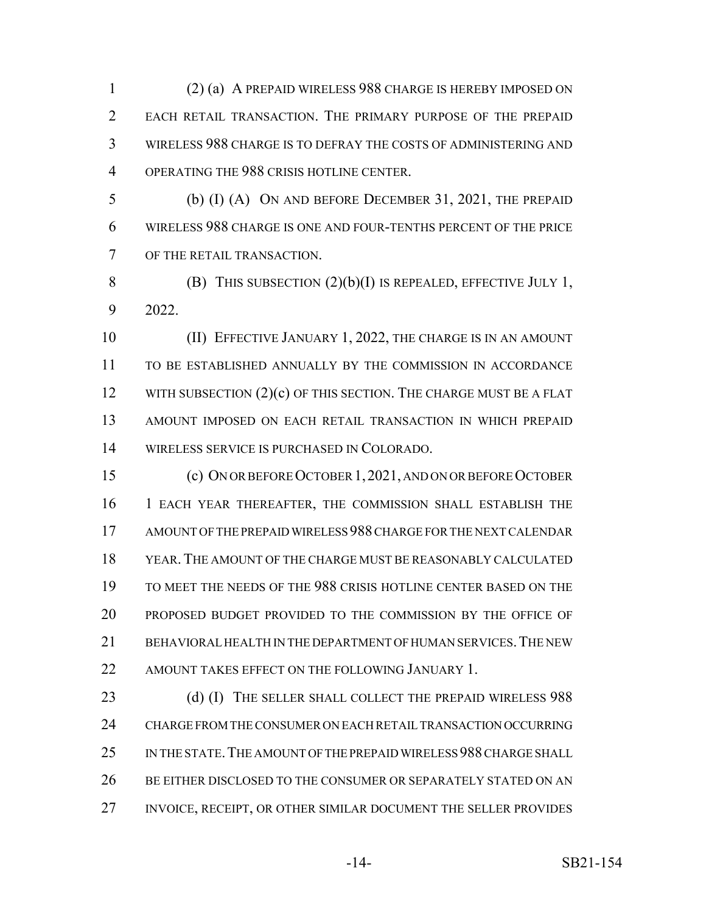(2) (a) A PREPAID WIRELESS 988 CHARGE IS HEREBY IMPOSED ON EACH RETAIL TRANSACTION. THE PRIMARY PURPOSE OF THE PREPAID WIRELESS 988 CHARGE IS TO DEFRAY THE COSTS OF ADMINISTERING AND OPERATING THE 988 CRISIS HOTLINE CENTER.

 (b) (I) (A) ON AND BEFORE DECEMBER 31, 2021, THE PREPAID WIRELESS 988 CHARGE IS ONE AND FOUR-TENTHS PERCENT OF THE PRICE OF THE RETAIL TRANSACTION.

8 (B) THIS SUBSECTION  $(2)(b)(I)$  IS REPEALED, EFFECTIVE JULY 1, 2022.

 (II) EFFECTIVE JANUARY 1, 2022, THE CHARGE IS IN AN AMOUNT TO BE ESTABLISHED ANNUALLY BY THE COMMISSION IN ACCORDANCE 12 WITH SUBSECTION (2)(c) OF THIS SECTION. THE CHARGE MUST BE A FLAT AMOUNT IMPOSED ON EACH RETAIL TRANSACTION IN WHICH PREPAID WIRELESS SERVICE IS PURCHASED IN COLORADO.

 (c) ON OR BEFORE OCTOBER 1,2021, AND ON OR BEFORE OCTOBER 1 EACH YEAR THEREAFTER, THE COMMISSION SHALL ESTABLISH THE AMOUNT OF THE PREPAID WIRELESS 988 CHARGE FOR THE NEXT CALENDAR YEAR.THE AMOUNT OF THE CHARGE MUST BE REASONABLY CALCULATED TO MEET THE NEEDS OF THE 988 CRISIS HOTLINE CENTER BASED ON THE PROPOSED BUDGET PROVIDED TO THE COMMISSION BY THE OFFICE OF BEHAVIORAL HEALTH IN THE DEPARTMENT OF HUMAN SERVICES.THE NEW 22 AMOUNT TAKES EFFECT ON THE FOLLOWING JANUARY 1.

23 (d) (I) THE SELLER SHALL COLLECT THE PREPAID WIRELESS 988 CHARGE FROM THE CONSUMER ON EACH RETAIL TRANSACTION OCCURRING IN THE STATE.THE AMOUNT OF THE PREPAID WIRELESS 988 CHARGE SHALL 26 BE EITHER DISCLOSED TO THE CONSUMER OR SEPARATELY STATED ON AN INVOICE, RECEIPT, OR OTHER SIMILAR DOCUMENT THE SELLER PROVIDES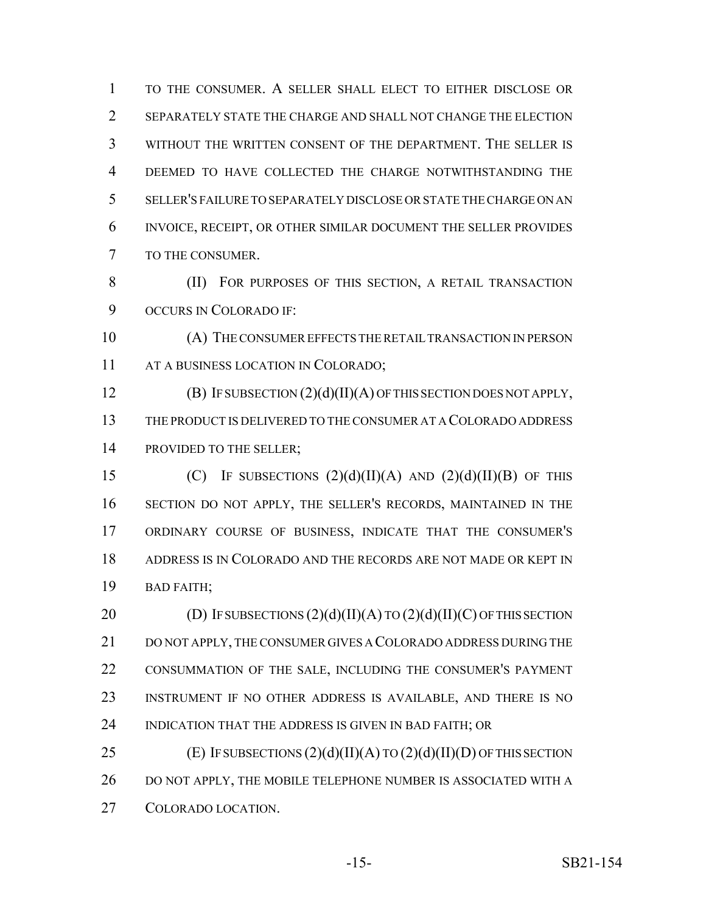TO THE CONSUMER. A SELLER SHALL ELECT TO EITHER DISCLOSE OR SEPARATELY STATE THE CHARGE AND SHALL NOT CHANGE THE ELECTION WITHOUT THE WRITTEN CONSENT OF THE DEPARTMENT. THE SELLER IS DEEMED TO HAVE COLLECTED THE CHARGE NOTWITHSTANDING THE SELLER'S FAILURE TO SEPARATELY DISCLOSE OR STATE THE CHARGE ON AN INVOICE, RECEIPT, OR OTHER SIMILAR DOCUMENT THE SELLER PROVIDES TO THE CONSUMER.

8 (II) FOR PURPOSES OF THIS SECTION, A RETAIL TRANSACTION 9 OCCURS IN COLORADO IF:

 (A) THE CONSUMER EFFECTS THE RETAIL TRANSACTION IN PERSON AT A BUSINESS LOCATION IN COLORADO;

12 **(B)** IF SUBSECTION  $(2)(d)(II)(A)$  OF THIS SECTION DOES NOT APPLY, THE PRODUCT IS DELIVERED TO THE CONSUMER AT A COLORADO ADDRESS 14 PROVIDED TO THE SELLER;

15 (C) IF SUBSECTIONS  $(2)(d)(II)(A)$  AND  $(2)(d)(II)(B)$  OF THIS SECTION DO NOT APPLY, THE SELLER'S RECORDS, MAINTAINED IN THE ORDINARY COURSE OF BUSINESS, INDICATE THAT THE CONSUMER'S ADDRESS IS IN COLORADO AND THE RECORDS ARE NOT MADE OR KEPT IN BAD FAITH;

20 (D) IF SUBSECTIONS  $(2)(d)(II)(A)$  TO  $(2)(d)(II)(C)$  OF THIS SECTION DO NOT APPLY, THE CONSUMER GIVES A COLORADO ADDRESS DURING THE CONSUMMATION OF THE SALE, INCLUDING THE CONSUMER'S PAYMENT INSTRUMENT IF NO OTHER ADDRESS IS AVAILABLE, AND THERE IS NO 24 INDICATION THAT THE ADDRESS IS GIVEN IN BAD FAITH; OR

25 (E) IF SUBSECTIONS  $(2)(d)(II)(A)$  TO  $(2)(d)(II)(D)$  OF THIS SECTION DO NOT APPLY, THE MOBILE TELEPHONE NUMBER IS ASSOCIATED WITH A COLORADO LOCATION.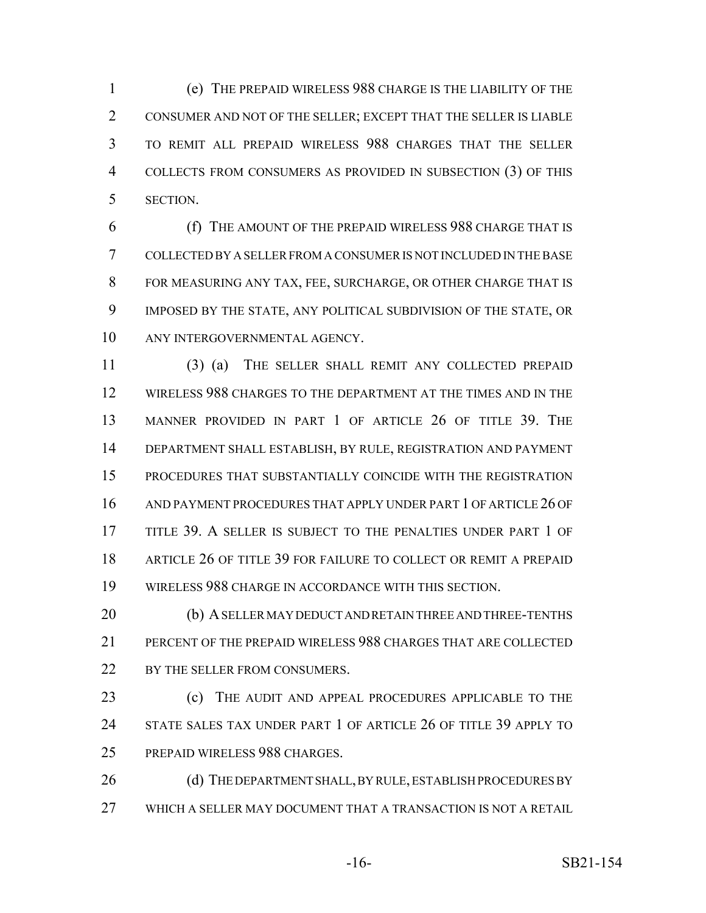(e) THE PREPAID WIRELESS 988 CHARGE IS THE LIABILITY OF THE CONSUMER AND NOT OF THE SELLER; EXCEPT THAT THE SELLER IS LIABLE TO REMIT ALL PREPAID WIRELESS 988 CHARGES THAT THE SELLER COLLECTS FROM CONSUMERS AS PROVIDED IN SUBSECTION (3) OF THIS SECTION.

 (f) THE AMOUNT OF THE PREPAID WIRELESS 988 CHARGE THAT IS COLLECTED BY A SELLER FROM A CONSUMER IS NOT INCLUDED IN THE BASE FOR MEASURING ANY TAX, FEE, SURCHARGE, OR OTHER CHARGE THAT IS IMPOSED BY THE STATE, ANY POLITICAL SUBDIVISION OF THE STATE, OR ANY INTERGOVERNMENTAL AGENCY.

 (3) (a) THE SELLER SHALL REMIT ANY COLLECTED PREPAID WIRELESS 988 CHARGES TO THE DEPARTMENT AT THE TIMES AND IN THE MANNER PROVIDED IN PART 1 OF ARTICLE 26 OF TITLE 39. THE DEPARTMENT SHALL ESTABLISH, BY RULE, REGISTRATION AND PAYMENT PROCEDURES THAT SUBSTANTIALLY COINCIDE WITH THE REGISTRATION AND PAYMENT PROCEDURES THAT APPLY UNDER PART 1 OF ARTICLE 26 OF TITLE 39. A SELLER IS SUBJECT TO THE PENALTIES UNDER PART 1 OF ARTICLE 26 OF TITLE 39 FOR FAILURE TO COLLECT OR REMIT A PREPAID WIRELESS 988 CHARGE IN ACCORDANCE WITH THIS SECTION.

 (b) A SELLER MAY DEDUCT AND RETAIN THREE AND THREE-TENTHS PERCENT OF THE PREPAID WIRELESS 988 CHARGES THAT ARE COLLECTED 22 BY THE SELLER FROM CONSUMERS.

 (c) THE AUDIT AND APPEAL PROCEDURES APPLICABLE TO THE 24 STATE SALES TAX UNDER PART 1 OF ARTICLE 26 OF TITLE 39 APPLY TO PREPAID WIRELESS 988 CHARGES.

26 (d) THE DEPARTMENT SHALL, BY RULE, ESTABLISH PROCEDURES BY WHICH A SELLER MAY DOCUMENT THAT A TRANSACTION IS NOT A RETAIL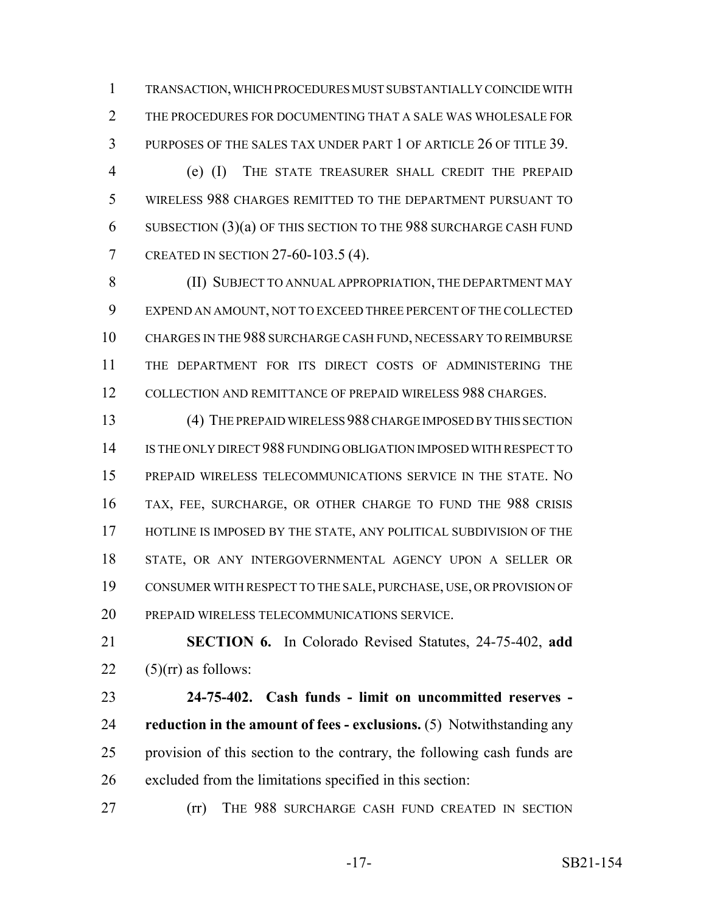TRANSACTION, WHICH PROCEDURES MUST SUBSTANTIALLY COINCIDE WITH THE PROCEDURES FOR DOCUMENTING THAT A SALE WAS WHOLESALE FOR PURPOSES OF THE SALES TAX UNDER PART 1 OF ARTICLE 26 OF TITLE 39.

 (e) (I) THE STATE TREASURER SHALL CREDIT THE PREPAID WIRELESS 988 CHARGES REMITTED TO THE DEPARTMENT PURSUANT TO SUBSECTION (3)(a) OF THIS SECTION TO THE 988 SURCHARGE CASH FUND CREATED IN SECTION 27-60-103.5 (4).

 (II) SUBJECT TO ANNUAL APPROPRIATION, THE DEPARTMENT MAY EXPEND AN AMOUNT, NOT TO EXCEED THREE PERCENT OF THE COLLECTED CHARGES IN THE 988 SURCHARGE CASH FUND, NECESSARY TO REIMBURSE THE DEPARTMENT FOR ITS DIRECT COSTS OF ADMINISTERING THE COLLECTION AND REMITTANCE OF PREPAID WIRELESS 988 CHARGES.

 (4) THE PREPAID WIRELESS 988 CHARGE IMPOSED BY THIS SECTION IS THE ONLY DIRECT 988 FUNDING OBLIGATION IMPOSED WITH RESPECT TO PREPAID WIRELESS TELECOMMUNICATIONS SERVICE IN THE STATE. NO TAX, FEE, SURCHARGE, OR OTHER CHARGE TO FUND THE 988 CRISIS 17 HOTLINE IS IMPOSED BY THE STATE, ANY POLITICAL SUBDIVISION OF THE STATE, OR ANY INTERGOVERNMENTAL AGENCY UPON A SELLER OR CONSUMER WITH RESPECT TO THE SALE, PURCHASE, USE, OR PROVISION OF PREPAID WIRELESS TELECOMMUNICATIONS SERVICE.

 **SECTION 6.** In Colorado Revised Statutes, 24-75-402, **add**  $22 \quad (5)(\text{rr})$  as follows:

 **24-75-402. Cash funds - limit on uncommitted reserves - reduction in the amount of fees - exclusions.** (5) Notwithstanding any provision of this section to the contrary, the following cash funds are excluded from the limitations specified in this section:

**(rr)** THE 988 SURCHARGE CASH FUND CREATED IN SECTION